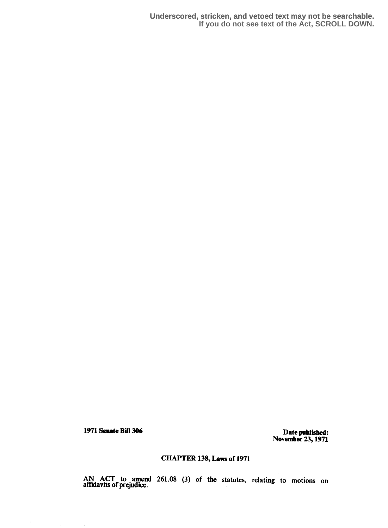1971 Senate Bull 306 Date published:<br>
and the Date published: November 23,1971

## CHAPTER 138, Laws of 1971

AN ACT to amend 261.08 (3) of the statutes, relating to motions on affidavits of prejudice.